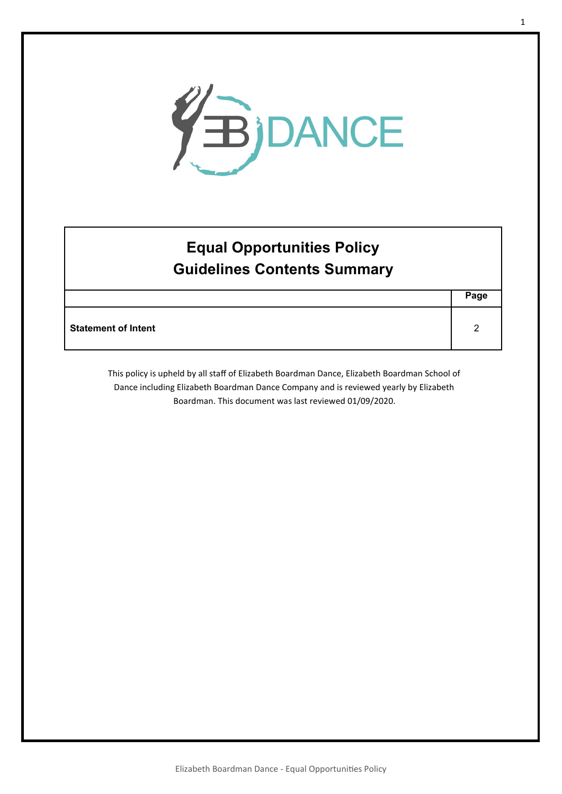

## **Equal Opportunities Policy Guidelines Contents Summary**

|                            | Page |
|----------------------------|------|
| <b>Statement of Intent</b> |      |

This policy is upheld by all staff of Elizabeth Boardman Dance, Elizabeth Boardman School of Dance including Elizabeth Boardman Dance Company and is reviewed yearly by Elizabeth Boardman. This document was last reviewed 01/09/2020.